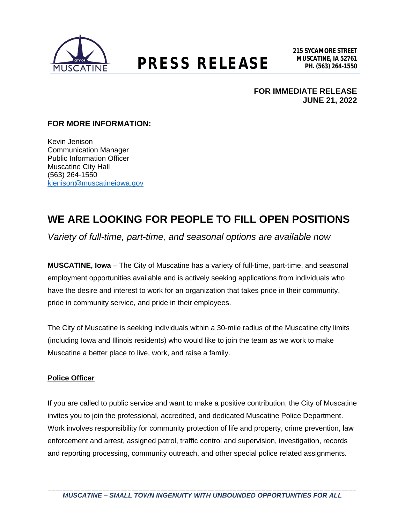

## **MUSCATINE, IA 52761 PRESS RELEASE PH. (563) 264-1550**

**FOR IMMEDIATE RELEASE JUNE 21, 2022**

#### **FOR MORE INFORMATION:**

Kevin Jenison Communication Manager Public Information Officer Muscatine City Hall (563) 264-1550 [kjenison@muscatineiowa.gov](mailto:kjenison@muscatineiowa.gov)

### **WE ARE LOOKING FOR PEOPLE TO FILL OPEN POSITIONS**

*Variety of full-time, part-time, and seasonal options are available now*

**MUSCATINE, Iowa** – The City of Muscatine has a variety of full-time, part-time, and seasonal employment opportunities available and is actively seeking applications from individuals who have the desire and interest to work for an organization that takes pride in their community, pride in community service, and pride in their employees.

The City of Muscatine is seeking individuals within a 30-mile radius of the Muscatine city limits (including Iowa and Illinois residents) who would like to join the team as we work to make Muscatine a better place to live, work, and raise a family.

#### **Police Officer**

If you are called to public service and want to make a positive contribution, the City of Muscatine invites you to join the professional, accredited, and dedicated Muscatine Police Department. Work involves responsibility for community protection of life and property, crime prevention, law enforcement and arrest, assigned patrol, traffic control and supervision, investigation, records and reporting processing, community outreach, and other special police related assignments.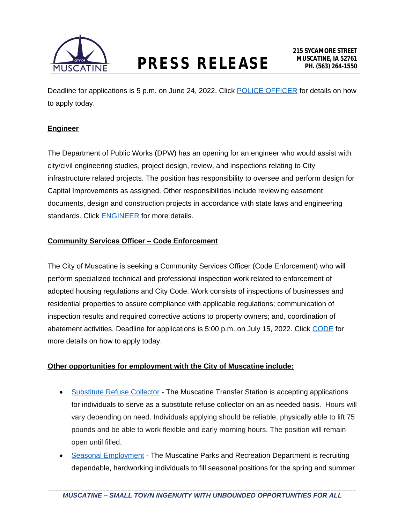

Deadline for applications is 5 p.m. on June 24, 2022. Click [POLICE OFFICER](http://www.muscatineiowa.gov/Jobs.aspx?UniqueId=76&From=All&CommunityJobs=False&JobID=Police-Officer-130) for details on how to apply today.

#### **Engineer**

The Department of Public Works (DPW) has an opening for an engineer who would assist with city/civil engineering studies, project design, review, and inspections relating to City infrastructure related projects. The position has responsibility to oversee and perform design for Capital Improvements as assigned. Other responsibilities include reviewing easement documents, design and construction projects in accordance with state laws and engineering standards. Click **ENGINEER** for more details.

#### **Community Services Officer – Code Enforcement**

The City of Muscatine is seeking a Community Services Officer (Code Enforcement) who will perform specialized technical and professional inspection work related to enforcement of adopted housing regulations and City Code. Work consists of inspections of businesses and residential properties to assure compliance with applicable regulations; communication of inspection results and required corrective actions to property owners; and, coordination of abatement activities. Deadline for applications is 5:00 p.m. on July 15, 2022. Click [CODE](http://www.muscatineiowa.gov/Jobs.aspx?UniqueId=95&From=All&CommunityJobs=False&JobID=Community-Services-Officer-Code-Enforcem-156) for more details on how to apply today.

#### **Other opportunities for employment with the City of Muscatine include:**

- [Substitute Refuse Collector](http://www.muscatineiowa.gov/Jobs.aspx?UniqueId=88&From=All&CommunityJobs=False&JobID=Substitute-Refuse-Collection-193) The Muscatine Transfer Station is accepting applications for individuals to serve as a substitute refuse collector on an as needed basis. Hours will vary depending on need. Individuals applying should be reliable, physically able to lift 75 pounds and be able to work flexible and early morning hours. The position will remain open until filled.
- [Seasonal Employment](http://www.muscatineiowa.gov/Jobs.aspx?UniqueId=85&From=All&CommunityJobs=False&JobID=Summer-Positions-124) The Muscatine Parks and Recreation Department is recruiting dependable, hardworking individuals to fill seasonal positions for the spring and summer